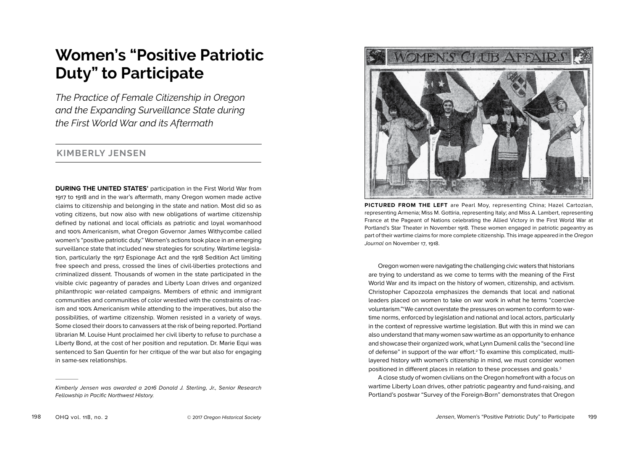# **Women's "Positive Patriotic Duty" to Participate**

*The Practice of Female Citizenship in Oregon and the Expanding Surveillance State during the First World War and its Aftermath* 

## **KIMBERLY JENSEN**

**DURING THE UNITED STATES'** participation in the First World War from 1917 to 1918 and in the war's aftermath, many Oregon women made active claims to citizenship and belonging in the state and nation. Most did so as voting citizens, but now also with new obligations of wartime citizenship defined by national and local officials as patriotic and loyal womanhood and 100% Americanism, what Oregon Governor James Withycombe called women's "positive patriotic duty." Women's actions took place in an emerging surveillance state that included new strategies for scrutiny. Wartime legislation, particularly the 1917 Espionage Act and the 1918 Sedition Act limiting free speech and press, crossed the lines of civil-liberties protections and criminalized dissent. Thousands of women in the state participated in the visible civic pageantry of parades and Liberty Loan drives and organized philanthropic war-related campaigns. Members of ethnic and immigrant communities and communities of color wrestled with the constraints of racism and 100% Americanism while attending to the imperatives, but also the possibilities, of wartime citizenship. Women resisted in a variety of ways. Some closed their doors to canvassers at the risk of being reported. Portland librarian M. Louise Hunt proclaimed her civil liberty to refuse to purchase a Liberty Bond, at the cost of her position and reputation. Dr. Marie Equi was sentenced to San Quentin for her critique of the war but also for engaging in same-sex relationships.



**PICTURED FROM THE LEFT** are Pearl Moy, representing China; Hazel Cartozian, representing Armenia; Miss M. Gottiria, representing Italy; and Miss A. Lambert, representing France at the Pageant of Nations celebrating the Allied Victory in the First World War at Portland's Star Theater in November 1918. These women engaged in patriotic pageantry as part of their wartime claims for more complete citizenship. This image appeared in the *Oregon Journal* on November 17, 1918.

Oregon women were navigating the challenging civic waters that historians are trying to understand as we come to terms with the meaning of the First World War and its impact on the history of women, citizenship, and activism. Christopher Capozzola emphasizes the demands that local and national leaders placed on women to take on war work in what he terms "coercive voluntarism."1 We cannot overstate the pressures on women to conform to wartime norms, enforced by legislation and national and local actors, particularly in the context of repressive wartime legislation. But with this in mind we can also understand that many women saw wartime as an opportunity to enhance and showcase their organized work, what Lynn Dumenil calls the "second line of defense" in support of the war effort.2 To examine this complicated, multilayered history with women's citizenship in mind, we must consider women positioned in different places in relation to these processes and goals.3

A close study of women civilians on the Oregon homefront with a focus on wartime Liberty Loan drives, other patriotic pageantry and fund-raising, and Portland's postwar "Survey of the Foreign-Born" demonstrates that Oregon

*Kimberly Jensen was awarded a 2016 Donald J. Sterling, Jr., Senior Research Fellowship in Pacific Northwest History.*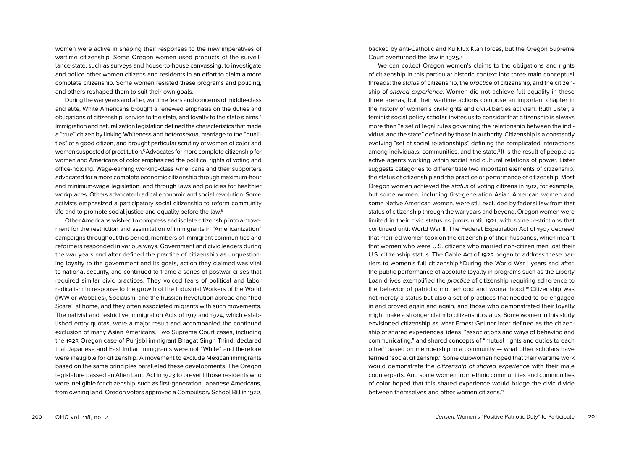women were active in shaping their responses to the new imperatives of wartime citizenship. Some Oregon women used products of the surveillance state, such as surveys and house-to-house canvassing, to investigate and police other women citizens and residents in an effort to claim a more complete citizenship. Some women resisted these programs and policing, and others reshaped them to suit their own goals.

During the war years and after, wartime fears and concerns of middle-class and elite, White Americans brought a renewed emphasis on the duties and obligations of citizenship: service to the state, and loyalty to the state's aims.4 Immigration and naturalization legislation defined the characteristics that made a "true" citizen by linking Whiteness and heterosexual marriage to the "qualities" of a good citizen, and brought particular scrutiny of women of color and women suspected of prostitution.5Advocates for more complete citizenship for women and Americans of color emphasized the political rights of voting and office-holding. Wage-earning working-class Americans and their supporters advocated for a more complete economic citizenship through maximum-hour and minimum-wage legislation, and through laws and policies for healthier workplaces. Others advocated radical economic and social revolution. Some activists emphasized a participatory social citizenship to reform community life and to promote social justice and equality before the law.<sup>6</sup>

Other Americans wished to compress and isolate citizenship into a movement for the restriction and assimilation of immigrants in "Americanization" campaigns throughout this period; members of immigrant communities and reformers responded in various ways. Government and civic leaders during the war years and after defined the practice of citizenship as unquestioning loyalty to the government and its goals, action they claimed was vital to national security, and continued to frame a series of postwar crises that required similar civic practices. They voiced fears of political and labor radicalism in response to the growth of the Industrial Workers of the World (IWW or Wobblies), Socialism, and the Russian Revolution abroad and "Red Scare" at home, and they often associated migrants with such movements. The nativist and restrictive Immigration Acts of 1917 and 1924, which established entry quotas, were a major result and accompanied the continued exclusion of many Asian Americans. Two Supreme Court cases, including the 1923 Oregon case of Punjabi immigrant Bhagat Singh Thind, declared that Japanese and East Indian immigrants were not "White" and therefore were ineligible for citizenship. A movement to exclude Mexican immigrants based on the same principles paralleled these developments. The Oregon legislature passed an Alien Land Act in 1923 to prevent those residents who were ineligible for citizenship, such as first-generation Japanese Americans, from owning land. Oregon voters approved a Compulsory School Bill in 1922, backed by anti-Catholic and Ku Klux Klan forces, but the Oregon Supreme Court overturned the law in 1925.7

We can collect Oregon women's claims to the obligations and rights of citizenship in this particular historic context into three main conceptual threads: the *status* of citizenship, the *practice* of citizenship, and the citizenship of *shared experience.* Women did not achieve full equality in these three arenas, but their wartime actions compose an important chapter in the history of women's civil-rights and civil-liberties activism. Ruth Lister, a feminist social policy scholar, invites us to consider that citizenship is always more than "a set of legal rules governing the relationship between the individual and the state" defined by those in authority. Citizenship is a constantly evolving "set of social relationships" defining the complicated interactions among individuals, communities, and the state.<sup>8</sup> It is the result of people as active agents working within social and cultural relations of power. Lister suggests categories to differentiate two important elements of citizenship: the status of citizenship and the practice or performance of citizenship. Most Oregon women achieved the *status* of voting citizens in 1912, for example, but some women, including first-generation Asian American women and some Native American women, were still excluded by federal law from that status of citizenship through the war years and beyond. Oregon women were limited in their civic status as jurors until 1921, with some restrictions that continued until World War II. The Federal Expatriation Act of 1907 decreed that married women took on the citizenship of their husbands, which meant that women who were U.S. citizens who married non-citizen men lost their U.S. citizenship status. The Cable Act of 1922 began to address these barriers to women's full citizenship.9 During the World War I years and after, the public performance of absolute loyalty in programs such as the Liberty Loan drives exemplified the *practice* of citizenship requiring adherence to the behavior of patriotic motherhood and womanhood.10 Citizenship was not merely a status but also a set of practices that needed to be engaged in and proved again and again, and those who demonstrated their loyalty might make a stronger claim to citizenship status. Some women in this study envisioned citizenship as what Ernest Gellner later defined as the citizenship of shared experiences, ideas, "associations and ways of behaving and communicating," and shared concepts of "mutual rights and duties to each other" based on membership in a community — what other scholars have termed "social citizenship." Some clubwomen hoped that their wartime work would demonstrate the *citizenship of shared experience* with their male counterparts. And some women from ethnic communities and communities of color hoped that this shared experience would bridge the civic divide between themselves and other women citizens.<sup>11</sup>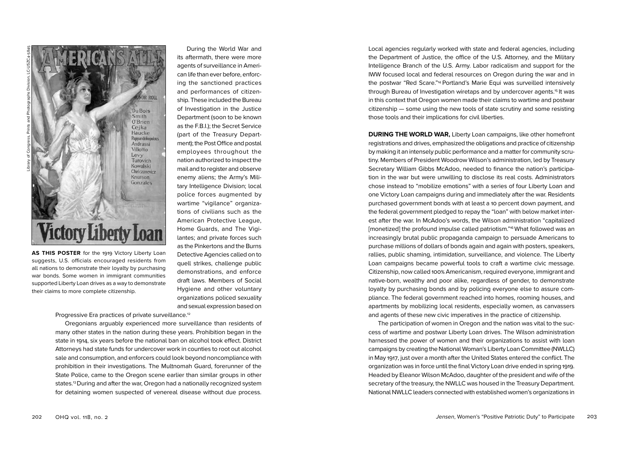

suggests, U.S. officials encouraged residents from all nations to demonstrate their loyalty by purchasing war bonds. Some women in immigrant communities supported Liberty Loan drives as a way to demonstrate their claims to more complete citizenship.

its aftermath, there were more agents of surveillance in American life than ever before, enforcing the sanctioned practices and performances of citizenship. These included the Bureau of Investigation in the Justice Department (soon to be known as the F.B.I.); the Secret Service (part of the Treasury Department); the Post Office and postal employees throughout the nation authorized to inspect the mail and to register and observe enemy aliens; the Army's Military Intelligence Division; local police forces augmented by wartime "vigilance" organizations of civilians such as the American Protective League, Home Guards, and The Vigilantes; and private forces such as the Pinkertons and the Burns Detective Agencies called on to quell strikes, challenge public demonstrations, and enforce draft laws. Members of Social Hygiene and other voluntary organizations policed sexuality and sexual expression based on

During the World War and

Progressive Era practices of private surveillance.<sup>12</sup>

Oregonians arguably experienced more surveillance than residents of many other states in the nation during these years. Prohibition began in the state in 1914, six years before the national ban on alcohol took effect. District Attorneys had state funds for undercover work in counties to root out alcohol sale and consumption, and enforcers could look beyond noncompliance with prohibition in their investigations. The Multnomah Guard, forerunner of the State Police, came to the Oregon scene earlier than similar groups in other states.<sup>13</sup> During and after the war, Oregon had a nationally recognized system for detaining women suspected of venereal disease without due process.

Local agencies regularly worked with state and federal agencies, including the Department of Justice, the office of the U.S. Attorney, and the Military Intelligence Branch of the U.S. Army. Labor radicalism and support for the IWW focused local and federal resources on Oregon during the war and in the postwar "Red Scare."14 Portland's Marie Equi was surveilled intensively through Bureau of Investigation wiretaps and by undercover agents.15 It was in this context that Oregon women made their claims to wartime and postwar citizenship — some using the new tools of state scrutiny and some resisting those tools and their implications for civil liberties.

**DURING THE WORLD WAR, Liberty Loan campaigns, like other homefront** registrations and drives, emphasized the obligations and practice of citizenship by making it an intensely public performance and a matter for community scrutiny. Members of President Woodrow Wilson's administration, led by Treasury Secretary William Gibbs McAdoo, needed to finance the nation's participation in the war but were unwilling to disclose its real costs. Administrators chose instead to "mobilize emotions" with a series of four Liberty Loan and one Victory Loan campaigns during and immediately after the war. Residents purchased government bonds with at least a 10 percent down payment, and the federal government pledged to repay the "loan" with below market interest after the war. In McAdoo's words, the Wilson administration "capitalized [monetized] the profound impulse called patriotism."<sup>6</sup> What followed was an increasingly brutal public propaganda campaign to persuade Americans to purchase millions of dollars of bonds again and again with posters, speakers, rallies, public shaming, intimidation, surveillance, and violence. The Liberty Loan campaigns became powerful tools to craft a wartime civic message. Citizenship, now called 100% Americanism, required everyone, immigrant and native-born, wealthy and poor alike, regardless of gender, to demonstrate loyalty by purchasing bonds and by policing everyone else to assure compliance. The federal government reached into homes, rooming houses, and apartments by mobilizing local residents, especially women, as canvassers and agents of these new civic imperatives in the practice of citizenship.

The participation of women in Oregon and the nation was vital to the success of wartime and postwar Liberty Loan drives. The Wilson administration harnessed the power of women and their organizations to assist with loan campaigns by creating the National Woman's Liberty Loan Committee (NWLLC) in May 1917, just over a month after the United States entered the conflict. The organization was in force until the final Victory Loan drive ended in spring 1919. Headed by Eleanor Wilson McAdoo, daughter of the president and wife of the secretary of the treasury, the NWLLC was housed in the Treasury Department. National NWLLC leaders connected with established women's organizations in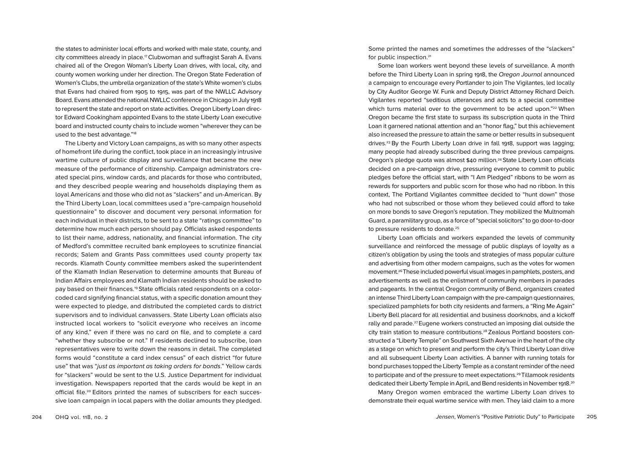the states to administer local efforts and worked with male state, county, and city committees already in place.17Clubwoman and suffragist Sarah A. Evans chaired all of the Oregon Woman's Liberty Loan drives, with local, city, and county women working under her direction. The Oregon State Federation of Women's Clubs, the umbrella organization of the state's White women's clubs that Evans had chaired from 1905 to 1915, was part of the NWLLC Advisory Board. Evans attended the national NWLLC conference in Chicago in July 1918 to represent the state and report on state activities. Oregon Liberty Loan director Edward Cookingham appointed Evans to the state Liberty Loan executive board and instructed county chairs to include women "wherever they can be used to the best advantage."18

The Liberty and Victory Loan campaigns, as with so many other aspects of homefront life during the conflict, took place in an increasingly intrusive wartime culture of public display and surveillance that became the new measure of the performance of citizenship. Campaign administrators created special pins, window cards, and placards for those who contributed, and they described people wearing and households displaying them as loyal Americans and those who did not as "slackers" and un-American. By the Third Liberty Loan, local committees used a "pre-campaign household questionnaire" to discover and document very personal information for each individual in their districts, to be sent to a state "ratings committee" to determine how much each person should pay. Officials asked respondents to list their name, address, nationality, and financial information. The city of Medford's committee recruited bank employees to scrutinize financial records; Salem and Grants Pass committees used county property tax records. Klamath County committee members asked the superintendent of the Klamath Indian Reservation to determine amounts that Bureau of Indian Affairs employees and Klamath Indian residents should be asked to pay based on their finances.<sup>19</sup> State officials rated respondents on a colorcoded card signifying financial status, with a specific donation amount they were expected to pledge, and distributed the completed cards to district supervisors and to individual canvassers. State Liberty Loan officials also instructed local workers to "solicit *everyone* who receives an income of any kind," even if there was no card on file, and to complete a card "whether they subscribe or not." If residents declined to subscribe, loan representatives were to write down the reasons in detail. The completed forms would "constitute a card index census" of each district "for future use" that was "*just as important as taking orders for bonds*." Yellow cards for "slackers" would be sent to the U.S. Justice Department for individual investigation. Newspapers reported that the cards would be kept in an official file.20 Editors printed the names of subscribers for each successive loan campaign in local papers with the dollar amounts they pledged.

Some printed the names and sometimes the addresses of the "slackers" for public inspection.21

Some loan workers went beyond these levels of surveillance. A month before the Third Liberty Loan in spring 1918, the *Oregon Journal* announced a campaign to encourage every Portlander to join The Vigilantes, led locally by City Auditor George W. Funk and Deputy District Attorney Richard Deich. Vigilantes reported "seditious utterances and acts to a special committee which turns material over to the government to be acted upon."22 When Oregon became the first state to surpass its subscription quota in the Third Loan it garnered national attention and an "honor flag," but this achievement also increased the pressure to attain the same or better results in subsequent drives.23 By the Fourth Liberty Loan drive in fall 1918, support was lagging; many people had already subscribed during the three previous campaigns. Oregon's pledge quota was almost \$40 million.24 State Liberty Loan officials decided on a pre-campaign drive, pressuring everyone to commit to public pledges before the official start, with "I Am Pledged" ribbons to be worn as rewards for supporters and public scorn for those who had no ribbon. In this context, The Portland Vigilantes committee decided to "hunt down" those who had not subscribed or those whom they believed could afford to take on more bonds to save Oregon's reputation. They mobilized the Multnomah Guard, a paramilitary group, as a force of "special solicitors" to go door-to-door to pressure residents to donate.<sup>25</sup>

Liberty Loan officials and workers expanded the levels of community surveillance and reinforced the message of public displays of loyalty as a citizen's obligation by using the tools and strategies of mass popular culture and advertising from other modern campaigns, such as the votes for women movement.26 These included powerful visual images in pamphlets, posters, and advertisements as well as the enlistment of community members in parades and pageants. In the central Oregon community of Bend, organizers created an intense Third Liberty Loan campaign with the pre-campaign questionnaires, specialized pamphlets for both city residents and farmers, a "Ring Me Again" Liberty Bell placard for all residential and business doorknobs, and a kickoff rally and parade.27Eugene workers constructed an imposing dial outside the city train station to measure contributions.28 Zealous Portland boosters constructed a "Liberty Temple" on Southwest Sixth Avenue in the heart of the city as a stage on which to present and perform the city's Third Liberty Loan drive and all subsequent Liberty Loan activities. A banner with running totals for bond purchases topped the Liberty Temple as a constant reminder of the need to participate and of the pressure to meet expectations.29 Tillamook residents dedicated their Liberty Temple in April, and Bend residents in November 1918. 30 Many Oregon women embraced the wartime Liberty Loan drives to demonstrate their equal wartime service with men. They laid claim to a more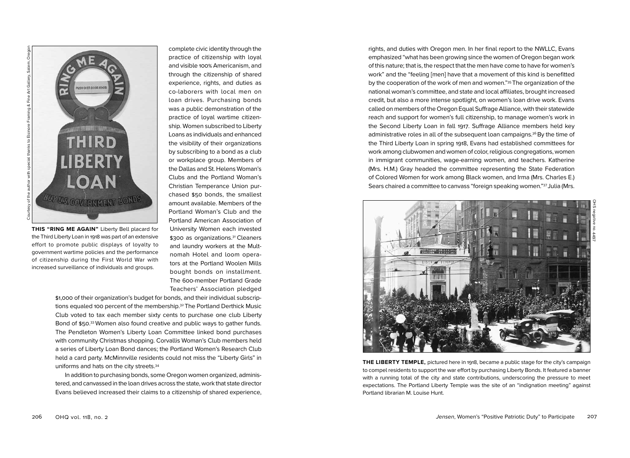

**THIS "RING ME AGAIN"** Liberty Bell placard for the Third Liberty Loan in 1918 was part of an extensive effort to promote public displays of loyalty to government wartime policies and the performance of citizenship during the First World War with increased surveillance of individuals and groups.

complete civic identity through the practice of citizenship with loyal and visible 100% Americanism, and through the citizenship of shared experience, rights, and duties as co-laborers with local men on loan drives. Purchasing bonds was a public demonstration of the practice of loyal wartime citizenship. Women subscribed to Liberty Loans as individuals and enhanced the visibility of their organizations by subscribing to a bond as a club or workplace group. Members of the Dallas and St. Helens Woman's Clubs and the Portland Woman's Christian Temperance Union purchased \$50 bonds, the smallest amount available. Members of the Portland Woman's Club and the Portland American Association of University Women each invested \$300 as organizations.<sup>31</sup> Cleaners and laundry workers at the Multnomah Hotel and loom operators at the Portland Woolen Mills bought bonds on installment. The 600-member Portland Grade Teachers' Association pledged

\$1,000 of their organization's budget for bonds, and their individual subscriptions equaled 100 percent of the membership.<sup>32</sup> The Portland Derthick Music Club voted to tax each member sixty cents to purchase one club Liberty Bond of \$50. <sup>33</sup> Women also found creative and public ways to gather funds. The Pendleton Women's Liberty Loan Committee linked bond purchases with community Christmas shopping. Corvallis Woman's Club members held a series of Liberty Loan Bond dances; the Portland Women's Research Club held a card party. McMinnville residents could not miss the "Liberty Girls" in uniforms and hats on the city streets.34

In addition to purchasing bonds, some Oregon women organized, administered, and canvassed in the loan drives across the state, work that state director Evans believed increased their claims to a citizenship of shared experience, rights, and duties with Oregon men. In her final report to the NWLLC, Evans emphasized "what has been growing since the women of Oregon began work of this nature; that is, the respect that the men have come to have for women's work" and the "feeling [men] have that a movement of this kind is benefitted by the cooperation of the work of men and women."35 The organization of the national woman's committee, and state and local affiliates, brought increased credit, but also a more intense spotlight, on women's loan drive work. Evans called on members of the Oregon Equal Suffrage Alliance, with their statewide reach and support for women's full citizenship, to manage women's work in the Second Liberty Loan in fall 1917. Suffrage Alliance members held key administrative roles in all of the subsequent loan campaigns.36By the time of the Third Liberty Loan in spring 1918, Evans had established committees for work among clubwomen and women of color, religious congregations, women in immigrant communities, wage-earning women, and teachers. Katherine (Mrs. H.M.) Gray headed the committee representing the State Federation of Colored Women for work among Black women, and Irma (Mrs. Charles E.) Sears chaired a committee to canvass "foreign speaking women."37 Julia (Mrs.



**THE LIBERTY TEMPLE,** pictured here in 1918, became a public stage for the city's campaign to compel residents to support the war effort by purchasing Liberty Bonds. It featured a banner with a running total of the city and state contributions, underscoring the pressure to meet expectations. The Portland Liberty Temple was the site of an "indignation meeting" against Portland librarian M. Louise Hunt.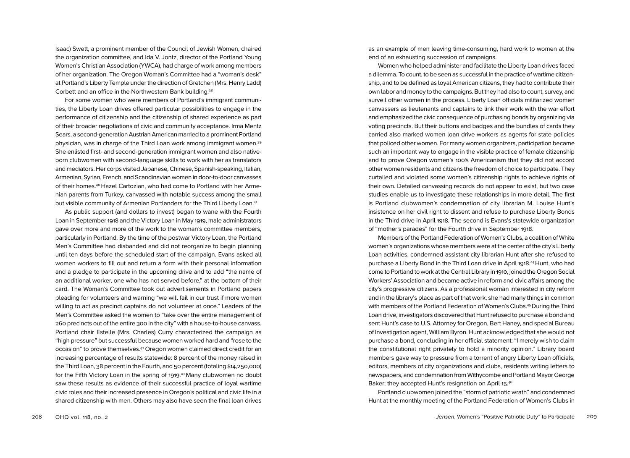Isaac) Swett, a prominent member of the Council of Jewish Women, chaired the organization committee, and Ida V. Jontz, director of the Portland Young Women's Christian Association (YWCA), had charge of work among members of her organization. The Oregon Woman's Committee had a "woman's desk" at Portland's Liberty Temple under the direction of Gretchen (Mrs. Henry Ladd) Corbett and an office in the Northwestern Bank building.38

For some women who were members of Portland's immigrant communities, the Liberty Loan drives offered particular possibilities to engage in the performance of citizenship and the citizenship of shared experience as part of their broader negotiations of civic and community acceptance. Irma Mentz Sears, a second-generation Austrian American married to a prominent Portland physician, was in charge of the Third Loan work among immigrant women.39 She enlisted first- and second-generation immigrant women and also nativeborn clubwomen with second-language skills to work with her as translators and mediators. Her corps visited Japanese, Chinese, Spanish-speaking, Italian, Armenian, Syrian, French, and Scandinavian women in door-to-door canvasses of their homes.40 Hazel Cartozian, who had come to Portland with her Armenian parents from Turkey, canvassed with notable success among the small but visible community of Armenian Portlanders for the Third Liberty Loan.41

As public support (and dollars to invest) began to wane with the Fourth Loan in September 1918 and the Victory Loan in May 1919, male administrators gave over more and more of the work to the woman's committee members, particularly in Portland. By the time of the postwar Victory Loan, the Portland Men's Committee had disbanded and did not reorganize to begin planning until ten days before the scheduled start of the campaign. Evans asked all women workers to fill out and return a form with their personal information and a pledge to participate in the upcoming drive and to add "the name of an additional worker, one who has not served before," at the bottom of their card. The Woman's Committee took out advertisements in Portland papers pleading for volunteers and warning "we will fail in our trust if more women willing to act as precinct captains do not volunteer at once." Leaders of the Men's Committee asked the women to "take over the entire management of 260 precincts out of the entire 300 in the city" with a house-to-house canvass. Portland chair Estelle (Mrs. Charles) Curry characterized the campaign as "high pressure" but successful because women worked hard and "rose to the occasion" to prove themselves.42Oregon women claimed direct credit for an increasing percentage of results statewide: 8 percent of the money raised in the Third Loan, 38 percent in the Fourth, and 50 percent (totaling \$14,250,000) for the Fifth Victory Loan in the spring of 1919. <sup>43</sup> Many clubwomen no doubt saw these results as evidence of their successful practice of loyal wartime civic roles and their increased presence in Oregon's political and civic life in a shared citizenship with men. Others may also have seen the final loan drives

as an example of men leaving time-consuming, hard work to women at the end of an exhausting succession of campaigns.

Women who helped administer and facilitate the Liberty Loan drives faced a dilemma. To count, to be seen as successful in the practice of wartime citizenship, and to be defined as loyal American citizens, they had to contribute their own labor and money to the campaigns. But they had also to count, survey, and surveil other women in the process. Liberty Loan officials militarized women canvassers as lieutenants and captains to link their work with the war effort and emphasized the civic consequence of purchasing bonds by organizing via voting precincts. But their buttons and badges and the bundles of cards they carried also marked women loan drive workers as agents for state policies that policed other women. For many women organizers, participation became such an important way to engage in the visible practice of female citizenship and to prove Oregon women's 100% Americanism that they did not accord other women residents and citizens the freedom of choice to participate. They curtailed and violated some women's citizenship rights to achieve rights of their own. Detailed canvassing records do not appear to exist, but two case studies enable us to investigate these relationships in more detail. The first is Portland clubwomen's condemnation of city librarian M. Louise Hunt's insistence on her civil right to dissent and refuse to purchase Liberty Bonds in the Third drive in April 1918. The second is Evans's statewide organization of "mother's parades" for the Fourth drive in September 1918.

Members of the Portland Federation of Women's Clubs, a coalition of White women's organizations whose members were at the center of the city's Liberty Loan activities, condemned assistant city librarian Hunt after she refused to purchase a Liberty Bond in the Third Loan drive in April 1918. 44Hunt, who had come to Portland to work at the Central Library in 1910, joined the Oregon Social Workers' Association and became active in reform and civic affairs among the city's progressive citizens. As a professional woman interested in city reform and in the library's place as part of that work, she had many things in common with members of the Portland Federation of Women's Clubs.<sup>45</sup> During the Third Loan drive, investigators discovered that Hunt refused to purchase a bond and sent Hunt's case to U.S. Attorney for Oregon, Bert Haney, and special Bureau of Investigation agent, William Byron. Hunt acknowledged that she would not purchase a bond, concluding in her official statement: "I merely wish to claim the constitutional right privately to hold a minority opinion." Library board members gave way to pressure from a torrent of angry Liberty Loan officials, editors, members of city organizations and clubs, residents writing letters to newspapers, and condemnation from Withycombe and Portland Mayor George Baker; they accepted Hunt's resignation on April 15. 46

Portland clubwomen joined the "storm of patriotic wrath" and condemned Hunt at the monthly meeting of the Portland Federation of Women's Clubs in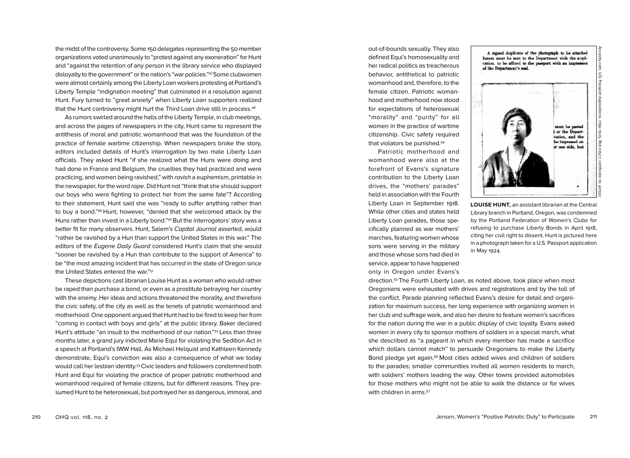the midst of the controversy. Some 150 delegates representing the 50 member organizations voted unanimously to "protest against any exoneration" for Hunt and "against the retention of any person in the library service who displayed disloyalty to the government" or the nation's "war policies."47Some clubwomen were almost certainly among the Liberty Loan workers protesting at Portland's Liberty Temple "indignation meeting" that culminated in a resolution against Hunt. Fury turned to "great anxiety" when Liberty Loan supporters realized that the Hunt controversy might hurt the Third Loan drive still in process.<sup>48</sup>

As rumors swirled around the halls of the Liberty Temple, in club meetings, and across the pages of newspapers in the city, Hunt came to represent the antithesis of moral and patriotic womanhood that was the foundation of the practice of female wartime citizenship. When newspapers broke the story, editors included details of Hunt's interrogation by two male Liberty Loan officials. They asked Hunt "if she realized what the Huns were doing and had done in France and Belgium, the cruelties they had practiced and were practicing, and women being ravished," with *ravish* a euphemism, printable in the newspaper, for the word *rape*. Did Hunt not "think that she should support our boys who were fighting to protect her from the same fate"? According to their statement, Hunt said she was "ready to suffer anything rather than to buy a bond."49 Hunt, however, "denied that she welcomed attack by the Huns rather than invest in a Liberty bond."<sup>50</sup> But the interrogators' story was a better fit for many observers. Hunt, Salem's *Capital Journal* asserted, would "rather be ravished by a Hun than support the United States in this war." The editors of the *Eugene Daily Guard* considered Hunt's claim that she would "sooner be ravished by a Hun than contribute to the support of America" to be "the most amazing incident that has occurred in the state of Oregon since the United States entered the war."51

These depictions cast librarian Louise Hunt as a woman who would rather be raped than purchase a bond, or even as a prostitute betraying her country with the enemy. Her ideas and actions threatened the morality, and therefore the civic safety, of the city as well as the tenets of patriotic womanhood and motherhood. One opponent argued that Hunt had to be fired to keep her from "coming in contact with boys and girls" at the public library. Baker declared Hunt's attitude "an insult to the motherhood of our nation."<sup>52</sup> Less than three months later, a grand jury indicted Marie Equi for violating the Sedition Act in a speech at Portland's IWW Hall. As Michael Helquist and Kathleen Kennedy demonstrate, Equi's conviction was also a consequence of what we today would call her lesbian identity.53Civic leaders and followers condemned both Hunt and Equi for violating the practice of proper patriotic motherhood and womanhood required of female citizens, but for different reasons. They presumed Hunt to be heterosexual, but portrayed her as dangerous, immoral, and

out-of-bounds sexually. They also defined Equi's homosexuality and her radical politics as treacherous behavior, antithetical to patriotic womanhood and, therefore, to the female citizen. Patriotic womanhood and motherhood now stood for expectations of heterosexual "morality" and "purity" for all women in the practice of wartime citizenship. Civic safety required that violators be punished.54

Patriotic motherhood and womanhood were also at the forefront of Evans's signature contribution to the Liberty Loan drives, the "mothers' parades" held in association with the Fourth Liberty Loan in September 1918. While other cities and states held Liberty Loan parades, those specifically planned as war mothers' marches, featuring women whose sons were serving in the military and those whose sons had died in service, appear to have happened only in Oregon under Evans's

A signed duplicate of the photograph to be attached hereto must be sent to the Department with the application, to be affixed to the passport with an impression of the Department's seal.



**LOUISE HUNT,** an assistant librarian at the Central Library branch in Portland, Oregon, was condemned by the Portland Federation of Women's Clubs for refusing to purchase Liberty Bonds in April 1918, citing her civil right to dissent. Hunt is pictured here in a photograph taken for a U.S. Passport application in May 1924.

direction.55 The Fourth Liberty Loan, as noted above, took place when most Oregonians were exhausted with drives and registrations and by the toll of the conflict. Parade planning reflected Evans's desire for detail and organization for maximum success, her long experience with organizing women in her club and suffrage work, and also her desire to feature women's sacrifices for the nation during the war in a public display of civic loyalty. Evans asked women in every city to sponsor mothers of soldiers in a special march, what she described as "a pageant in which every member has made a sacrifice which dollars cannot match" to persuade Oregonians to make the Liberty Bond pledge yet again.56 Most cities added wives and children of soldiers to the parades; smaller communities invited all women residents to march, with soldiers' mothers leading the way. Other towns provided automobiles for those mothers who might not be able to walk the distance or for wives with children in arms.<sup>57</sup>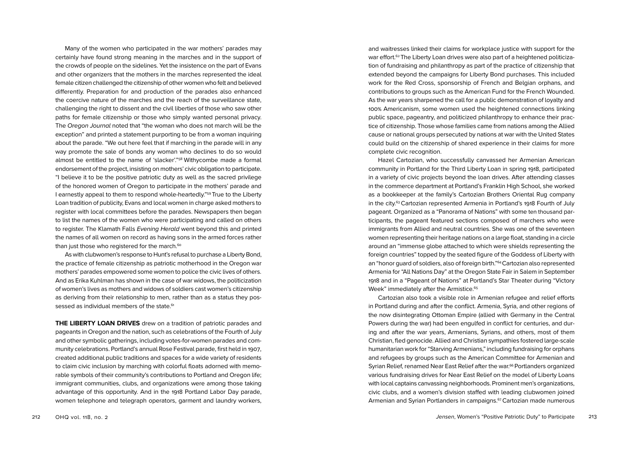Many of the women who participated in the war mothers' parades may certainly have found strong meaning in the marches and in the support of the crowds of people on the sidelines. Yet the insistence on the part of Evans and other organizers that the mothers in the marches represented the ideal female citizen challenged the citizenship of other women who felt and believed differently. Preparation for and production of the parades also enhanced the coercive nature of the marches and the reach of the surveillance state, challenging the right to dissent and the civil liberties of those who saw other paths for female citizenship or those who simply wanted personal privacy. The *Oregon Journal* noted that "the woman who does not march will be the exception" and printed a statement purporting to be from a woman inquiring about the parade. "We out here feel that if marching in the parade will in any way promote the sale of bonds any woman who declines to do so would almost be entitled to the name of 'slacker'."58 Withycombe made a formal endorsement of the project, insisting on mothers' civic obligation to participate. "I believe it to be the positive patriotic duty as well as the sacred privilege of the honored women of Oregon to participate in the mothers' parade and I earnestly appeal to them to respond whole-heartedly."59 True to the Liberty Loan tradition of publicity, Evans and local women in charge asked mothers to register with local committees before the parades. Newspapers then began to list the names of the women who were participating and called on others to register. The Klamath Falls *Evening Herald* went beyond this and printed the names of all women on record as having sons in the armed forces rather than just those who registered for the march.<sup>60</sup>

As with clubwomen's response to Hunt's refusal to purchase a Liberty Bond, the practice of female citizenship as patriotic motherhood in the Oregon war mothers' parades empowered some women to police the civic lives of others. And as Erika Kuhlman has shown in the case of war widows, the politicization of women's lives as mothers and widows of soldiers cast women's citizenship as deriving from their relationship to men, rather than as a status they possessed as individual members of the state.<sup>61</sup>

**THE LIBERTY LOAN DRIVES** drew on a tradition of patriotic parades and pageants in Oregon and the nation, such as celebrations of the Fourth of July and other symbolic gatherings, including votes-for-women parades and community celebrations. Portland's annual Rose Festival parade, first held in 1907, created additional public traditions and spaces for a wide variety of residents to claim civic inclusion by marching with colorful floats adorned with memorable symbols of their community's contributions to Portland and Oregon life; immigrant communities, clubs, and organizations were among those taking advantage of this opportunity. And in the 1918 Portland Labor Day parade, women telephone and telegraph operators, garment and laundry workers,

and waitresses linked their claims for workplace justice with support for the war effort.<sup>62</sup> The Liberty Loan drives were also part of a heightened politicization of fundraising and philanthropy as part of the practice of citizenship that extended beyond the campaigns for Liberty Bond purchases. This included work for the Red Cross, sponsorship of French and Belgian orphans, and contributions to groups such as the American Fund for the French Wounded. As the war years sharpened the call for a public demonstration of loyalty and 100% Americanism, some women used the heightened connections linking public space, pageantry, and politicized philanthropy to enhance their practice of citizenship. Those whose families came from nations among the Allied cause or national groups persecuted by nations at war with the United States could build on the citizenship of shared experience in their claims for more complete civic recognition.

Hazel Cartozian, who successfully canvassed her Armenian American community in Portland for the Third Liberty Loan in spring 1918, participated in a variety of civic projects beyond the loan drives. After attending classes in the commerce department at Portland's Franklin High School, she worked as a bookkeeper at the family's Cartozian Brothers Oriental Rug company in the city.<sup>63</sup> Cartozian represented Armenia in Portland's 1918 Fourth of July pageant. Organized as a "Panorama of Nations" with some ten thousand participants, the pageant featured sections composed of marchers who were immigrants from Allied and neutral countries. She was one of the seventeen women representing their heritage nations on a large float, standing in a circle around an "immense globe attached to which were shields representing the foreign countries" topped by the seated figure of the Goddess of Liberty with an "honor guard of soldiers, also of foreign birth."64Cartozian also represented Armenia for "All Nations Day" at the Oregon State Fair in Salem in September 1918 and in a "Pageant of Nations" at Portland's Star Theater during "Victory Week" immediately after the Armistice.<sup>65</sup>

Cartozian also took a visible role in Armenian refugee and relief efforts in Portland during and after the conflict. Armenia, Syria, and other regions of the now disintegrating Ottoman Empire (allied with Germany in the Central Powers during the war) had been engulfed in conflict for centuries, and during and after the war years, Armenians, Syrians, and others, most of them Christian, fled genocide. Allied and Christian sympathies fostered large-scale humanitarian work for "Starving Armenians," including fundraising for orphans and refugees by groups such as the American Committee for Armenian and Syrian Relief, renamed Near East Relief after the war.<sup>66</sup> Portlanders organized various fundraising drives for Near East Relief on the model of Liberty Loans with local captains canvassing neighborhoods. Prominent men's organizations, civic clubs, and a women's division staffed with leading clubwomen joined Armenian and Syrian Portlanders in campaigns.<sup>67</sup> Cartozian made numerous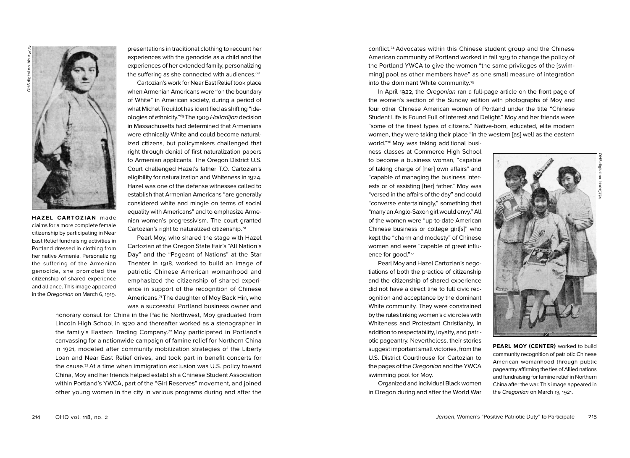

**HAZEL CARTOZIAN** made claims for a more complete female citizenship by participating in Near East Relief fundraising activities in Portland dressed in clothing from her native Armenia. Personalizing the suffering of the Armenian genocide, she promoted the citizenship of shared experience and alliance. This image appeared in the *Oregonian* on March 6, 1919.

presentations in traditional clothing to recount her experiences with the genocide as a child and the experiences of her extended family, personalizing the suffering as she connected with audiences.<sup>68</sup>

Cartozian's work for Near East Relief took place when Armenian Americans were "on the boundary of White" in American society, during a period of what Michel Trouillot has identified as shifting "ideologies of ethnicity."69 The 1909 *Halladijan* decision in Massachusetts had determined that Armenians were ethnically White and could become naturalized citizens, but policymakers challenged that right through denial of first naturalization papers to Armenian applicants. The Oregon District U.S. Court challenged Hazel's father T.O. Cartozian's eligibility for naturalization and Whiteness in 1924. Hazel was one of the defense witnesses called to establish that Armenian Americans "are generally considered white and mingle on terms of social equality with Americans" and to emphasize Armenian women's progressivism. The court granted Cartozian's right to naturalized citizenship.70

Pearl Moy, who shared the stage with Hazel Cartozian at the Oregon State Fair's "All Nation's Day" and the "Pageant of Nations" at the Star Theater in 1918, worked to build an image of patriotic Chinese American womanhood and emphasized the citizenship of shared experience in support of the recognition of Chinese Americans.71The daughter of Moy Back Hin, who was a successful Portland business owner and

honorary consul for China in the Pacific Northwest, Moy graduated from Lincoln High School in 1920 and thereafter worked as a stenographer in the family's Eastern Trading Company.72 Moy participated in Portland's canvassing for a nationwide campaign of famine relief for Northern China in 1921, modeled after community mobilization strategies of the Liberty Loan and Near East Relief drives, and took part in benefit concerts for the cause.73At a time when immigration exclusion was U.S. policy toward China, Moy and her friends helped establish a Chinese Student Association within Portland's YWCA, part of the "Girl Reserves" movement, and joined other young women in the city in various programs during and after the

conflict.74 Advocates within this Chinese student group and the Chinese American community of Portland worked in fall 1919 to change the policy of the Portland YWCA to give the women "the same privileges of the [swimming] pool as other members have" as one small measure of integration into the dominant White community.75

In April 1922, the *Oregonian* ran a full-page article on the front page of the women's section of the Sunday edition with photographs of Moy and four other Chinese American women of Portland under the title "Chinese Student Life is Found Full of Interest and Delight." Moy and her friends were "some of the finest types of citizens." Native-born, educated, elite modern women, they were taking their place "in the western [as] well as the eastern world."76 Moy was taking additional busi-

ness classes at Commerce High School to become a business woman, "capable of taking charge of [her] own affairs" and "capable of managing the business interests or of assisting [her] father." Moy was "versed in the affairs of the day" and could "converse entertainingly," something that "many an Anglo-Saxon girl would envy." All of the women were "up-to-date American Chinese business or college girl[s]" who kept the "charm and modesty" of Chinese women and were "capable of great influence for good."77

Pearl Moy and Hazel Cartozian's negotiations of both the practice of citizenship and the citizenship of shared experience did not have a direct line to full civic recognition and acceptance by the dominant White community. They were constrained by the rules linking women's civic roles with Whiteness and Protestant Christianity, in addition to respectability, loyalty, and patriotic pageantry. Nevertheless, their stories suggest important small victories, from the U.S. District Courthouse for Cartozian to the pages of the *Oregonian* and the YWCA swimming pool for Moy.

Organized and individual Black women in Oregon during and after the World War



**PEARL MOY (CENTER)** worked to build community recognition of patriotic Chinese American womanhood through public pageantry affirming the ties of Allied nations and fundraising for famine relief in Northern China after the war. This image appeared in the *Oregonian* on March 13, 1921.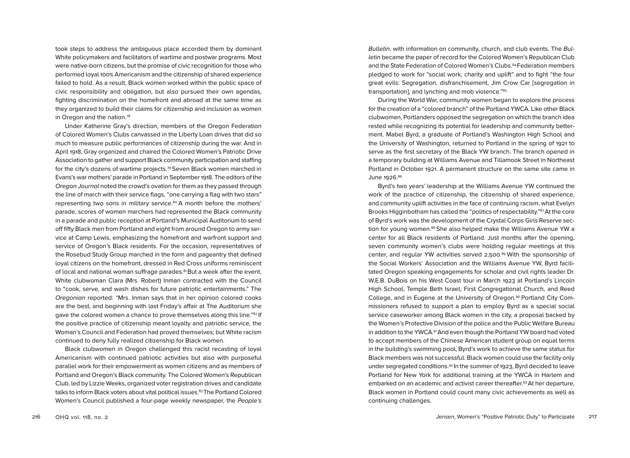took steps to address the ambiguous place accorded them by dominant White policymakers and facilitators of wartime and postwar programs. Most were native-born citizens, but the promise of civic recognition for those who performed loyal 100% Americanism and the citizenship of shared experience failed to hold. As a result, Black women worked within the public space of civic responsibility and obligation, but also pursued their own agendas, fighting discrimination on the homefront and abroad at the same time as they organized to build their claims for citizenship and inclusion as women in Oregon and the nation.78

Under Katherine Gray's direction, members of the Oregon Federation of Colored Women's Clubs canvassed in the Liberty Loan drives that did so much to measure public performances of citizenship during the war. And in April 1918, Gray organized and chaired the Colored Women's Patriotic Drive Association to gather and support Black community participation and staffing for the city's dozens of wartime projects.79 Seven Black women marched in Evans's war mothers' parade in Portland in September 1918. The editors of the *Oregon Journal* noted the crowd's ovation for them as they passed through the line of march with their service flags, "one carrying a flag with two stars" representing two sons in military service.<sup>80</sup> A month before the mothers' parade, scores of women marchers had represented the Black community in a parade and public reception at Portland's Municipal Auditorium to send off fifty Black men from Portland and eight from around Oregon to army service at Camp Lewis, emphasizing the homefront and warfront support and service of Oregon's Black residents. For the occasion, representatives of the Rosebud Study Group marched in the form and pageantry that defined loyal citizens on the homefront, dressed in Red Cross uniforms reminiscent of local and national woman suffrage parades. $81$ But a week after the event, White clubwoman Clara (Mrs. Robert) Inman contracted with the Council to "cook, serve, and wash dishes for future patriotic entertainments." The *Oregonian* reported: "Mrs. Inman says that in her opinion colored cooks are the best, and beginning with last Friday's affair at The Auditorium she gave the colored women a chance to prove themselves along this line."82 If the positive practice of citizenship meant loyalty and patriotic service, the Woman's Council and Federation had proved themselves; but White racism continued to deny fully realized citizenship for Black women.

Black clubwomen in Oregon challenged this racist recasting of loyal Americanism with continued patriotic activities but also with purposeful parallel work for their empowerment as women citizens and as members of Portland and Oregon's Black community. The Colored Women's Republican Club, led by Lizzie Weeks, organized voter registration drives and candidate talks to inform Black voters about vital political issues.<sup>83</sup>The Portland Colored Women's Council published a four-page weekly newspaper, the *People's* 

*Bulletin*, with information on community, church, and club events. The *Bulletin* became the paper of record for the Colored Women's Republican Club and the State Federation of Colored Women's Clubs.<sup>84</sup> Federation members pledged to work for "social work, charity and uplift" and to fight "the four great evils: Segregation, disfranchisement, Jim Crow Car [segregation in transportation], and lynching and mob violence."85

During the World War, community women began to explore the process for the creation of a "colored branch" of the Portland YWCA. Like other Black clubwomen, Portlanders opposed the segregation on which the branch idea rested while recognizing its potential for leadership and community betterment. Mabel Byrd, a graduate of Portland's Washington High School and the University of Washington, returned to Portland in the spring of 1921 to serve as the first secretary of the Black YW branch. The branch opened in a temporary building at Williams Avenue and Tillamook Street in Northeast Portland in October 1921. A permanent structure on the same site came in June 1926. 86

Byrd's two years' leadership at the Williams Avenue YW continued the work of the practice of citizenship, the citizenship of shared experience, and community uplift activities in the face of continuing racism, what Evelyn Brooks Higginbotham has called the "politics of respectability."<sup>87</sup>At the core of Byrd's work was the development of the Crystal Corps Girls Reserve section for young women.<sup>88</sup> She also helped make the Williams Avenue YW a center for all Black residents of Portland. Just months after the opening, seven community women's clubs were holding regular meetings at this center, and regular YW activities served 2,500. <sup>89</sup> With the sponsorship of the Social Workers' Association and the Williams Avenue YW, Byrd facilitated Oregon speaking engagements for scholar and civil rights leader Dr. W.E.B. DuBois on his West Coast tour in March 1923 at Portland's Lincoln High School, Temple Beth Israel, First Congregational Church, and Reed College, and in Eugene at the University of Oregon.90 Portland City Commissioners refused to support a plan to employ Byrd as a special social service caseworker among Black women in the city, a proposal backed by the Women's Protective Division of the police and the Public Welfare Bureau in addition to the YWCA.<sup>91</sup> And even though the Portland YW board had voted to accept members of the Chinese American student group on equal terms in the building's swimming pool, Byrd's work to achieve the same status for Black members was not successful. Black women could use the facility only under segregated conditions.92 In the summer of 1923, Byrd decided to leave Portland for New York for additional training at the YWCA in Harlem and embarked on an academic and activist career thereafter.93At her departure, Black women in Portland could count many civic achievements as well as continuing challenges.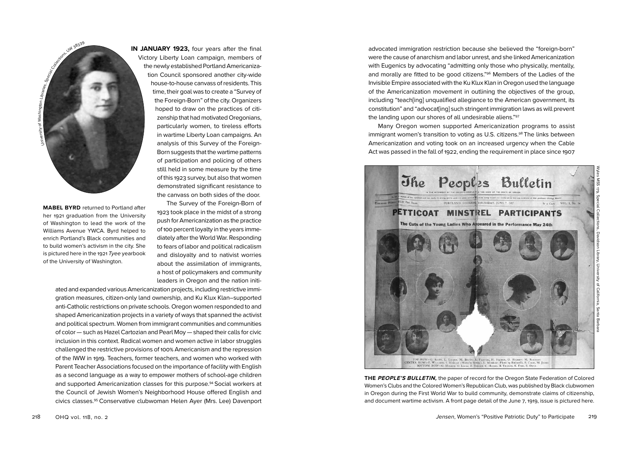

**MABEL BYRD** returned to Portland after her 1921 graduation from the University of Washington to lead the work of the Williams Avenue YWCA. Byrd helped to enrich Portland's Black communities and to build women's activism in the city. She is pictured here in the 1921 *Tyee* yearbook of the University of Washington.

**IN JANUARY 1923, four years after the final** Victory Liberty Loan campaign, members of the newly established Portland Americanization Council sponsored another city-wide house-to-house canvass of residents. This time, their goal was to create a "Survey of the Foreign-Born" of the city. Organizers hoped to draw on the practices of citizenship that had motivated Oregonians, particularly women, to tireless efforts in wartime Liberty Loan campaigns. An analysis of this Survey of the Foreign-Born suggests that the wartime patterns of participation and policing of others still held in some measure by the time of this 1923 survey, but also that women demonstrated significant resistance to the canvass on both sides of the door.

> The Survey of the Foreign-Born of 1923 took place in the midst of a strong push for Americanization as the practice of 100 percent loyalty in the years immediately after the World War. Responding to fears of labor and political radicalism and disloyalty and to nativist worries about the assimilation of immigrants, a host of policymakers and community leaders in Oregon and the nation initi-

ated and expanded various Americanization projects, including restrictive immigration measures, citizen-only land ownership, and Ku Klux Klan–supported anti-Catholic restrictions on private schools. Oregon women responded to and shaped Americanization projects in a variety of ways that spanned the activist and political spectrum. Women from immigrant communities and communities of color — such as Hazel Cartozian and Pearl Moy — shaped their calls for civic inclusion in this context. Radical women and women active in labor struggles challenged the restrictive provisions of 100% Americanism and the repression of the IWW in 1919. Teachers, former teachers, and women who worked with Parent Teacher Associations focused on the importance of facility with English as a second language as a way to empower mothers of school-age children and supported Americanization classes for this purpose.94 Social workers at the Council of Jewish Women's Neighborhood House offered English and civics classes.95 Conservative clubwoman Helen Ayer (Mrs. Lee) Davenport

advocated immigration restriction because she believed the "foreign-born" were the cause of anarchism and labor unrest, and she linked Americanization with Eugenics by advocating "admitting only those who physically, mentally, and morally are fitted to be good citizens."96 Members of the Ladies of the Invisible Empire associated with the Ku Klux Klan in Oregon used the language of the Americanization movement in outlining the objectives of the group, including "teach[ing] unqualified allegiance to the American government, its constitution" and "advocat[ing] such stringent immigration laws as will prevent the landing upon our shores of all undesirable aliens."97

Many Oregon women supported Americanization programs to assist immigrant women's transition to voting as U.S. citizens.<sup>98</sup> The links between Americanization and voting took on an increased urgency when the Cable Act was passed in the fall of 1922, ending the requirement in place since 1907



**THE PEOPLE'S BULLETIN,** the paper of record for the Oregon State Federation of Colored Women's Clubs and the Colored Women's Republican Club, was published by Black clubwomen in Oregon during the First World War to build community, demonstrate claims of citizenship, and document wartime activism. A front page detail of the June 7, 1919, issue is pictured here.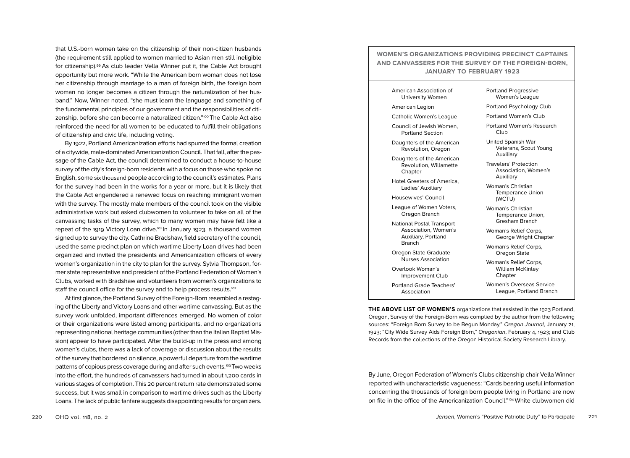that U.S.-born women take on the citizenship of their non-citizen husbands (the requirement still applied to women married to Asian men still ineligible for citizenship).99 As club leader Vella Winner put it, the Cable Act brought opportunity but more work. "While the American born woman does not lose her citizenship through marriage to a man of foreign birth, the foreign born woman no longer becomes a citizen through the naturalization of her hus band." Now, Winner noted, "she must learn the language and something of the fundamental principles of our government and the responsibilities of citi zenship, before she can become a naturalized citizen."100 The Cable Act also reinforced the need for all women to be educated to fulfill their obligations of citizenship and civic life, including voting.

By 1922, Portland Americanization efforts had spurred the formal creation of a citywide, male-dominated Americanization Council. That fall, after the pas sage of the Cable Act, the council determined to conduct a house-to-house survey of the city's foreign-born residents with a focus on those who spoke no English, some six thousand people according to the council's estimates. Plans for the survey had been in the works for a year or more, but it is likely that the Cable Act engendered a renewed focus on reaching immigrant women with the survey. The mostly male members of the council took on the visible administrative work but asked clubwomen to volunteer to take on all of the canvassing tasks of the survey, which to many women may have felt like a repeat of the 1919 Victory Loan drive.<sup>101</sup> In January 1923, a thousand women signed up to survey the city. Cathrine Bradshaw, field secretary of the council, used the same precinct plan on which wartime Liberty Loan drives had been organized and invited the presidents and Americanization officers of every women's organization in the city to plan for the survey. Sylvia Thompson, for mer state representative and president of the Portland Federation of Women's Clubs, worked with Bradshaw and volunteers from women's organizations to staff the council office for the survey and to help process results.<sup>102</sup>

At first glance, the Portland Survey of the Foreign-Born resembled a restag ing of the Liberty and Victory Loans and other wartime canvassing. But as the survey work unfolded, important differences emerged. No women of color or their organizations were listed among participants, and no organizations representing national heritage communities (other than the Italian Baptist Mis sion) appear to have participated. After the build-up in the press and among women's clubs, there was a lack of coverage or discussion about the results of the survey that bordered on silence, a powerful departure from the wartime patterns of copious press coverage during and after such events.<sup>103</sup>Two weeks into the effort, the hundreds of canvassers had turned in about 1 ,200 cards in various stages of completion. This 20 percent return rate demonstrated some success, but it was small in comparison to wartime drives such as the Liberty Loans. The lack of public fanfare suggests disappointing results for organizers.

### **WOMEN'S ORGANIZATIONS PROVIDING PRECINCT CAPTAINS AND CANVASSERS FOR THE SURVEY OF THE FOREIGN-BORN, JANUARY TO FEBRUARY 1923**

American Association of University Women

American Legion

Catholic Women's League

Council of Jewish Women, Portland Section

Daughters of the American Revolution, Oregon

Daughters of the American Revolution, Willamette **Chapter** 

Hotel Greeters of America, Ladies' Auxiliary

Housewives' Council

League of Women Voters, Oregon Branch

National Postal Transport Association, Women's Auxiliary, Portland Branch

Oregon State Graduate Nurses Association

Overlook Woman's Improvement Club

Portland Grade Teachers' Association

Portland Progressive Women's League

Portland Psychology Club

Portland Woman's Club

Portland Women's Research Club

United Spanish War Veterans, Scout Young Auxiliary

Travelers' Protection Association, Women's Auxiliary

Woman's Christian Temperance Union (WCTU)

Woman's Christian Temperance Union, Gresham Branch

Woman's Relief Corps, George Wright Chapter

Woman's Relief Corps, Oregon State

Woman's Relief Corps, William McKinley Chapter

Women's Overseas Service League, Portland Branch

**THE ABOVE LIST OF WOMEN'S** organizations that assisted in the 1923 Portland, Oregon, Survey of the Foreign-Born was complied by the author from the following sources: "Foreign Born Survey to be Begun Monday," *Oregon Journal,* January 21, 1923; "City Wide Survey Aids Foreign Born," *Oregonian*, February 4, 1923; and Club Records from the collections of the Oregon Historical Society Research Library.

By June, Oregon Federation of Women's Clubs citizenship chair Vella Winner reported with uncharacteristic vagueness: "Cards bearing useful information concerning the thousands of foreign born people living in Portland are now on file in the office of the Americanization Council."104 White clubwomen did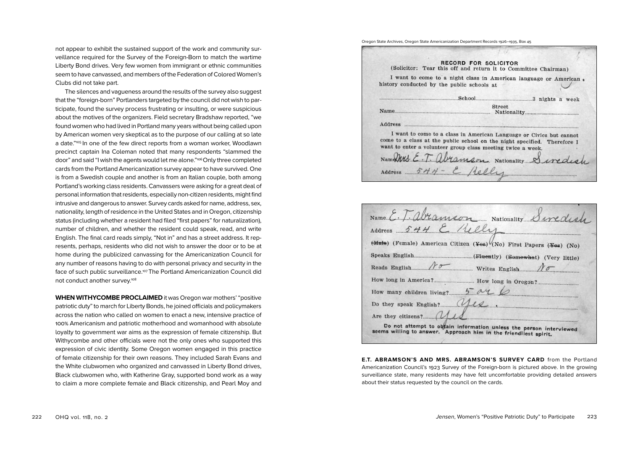not appear to exhibit the sustained support of the work and community surveillance required for the Survey of the Foreign-Born to match the wartime Liberty Bond drives. Very few women from immigrant or ethnic communities seem to have canvassed, and members of the Federation of Colored Women's Clubs did not take part.

The silences and vagueness around the results of the survey also suggest that the "foreign-born" Portlanders targeted by the council did not wish to participate, found the survey process frustrating or insulting, or were suspicious about the motives of the organizers. Field secretary Bradshaw reported, "we found women who had lived in Portland many years without being called upon by American women very skeptical as to the purpose of our calling at so late a date."105 In one of the few direct reports from a woman worker, Woodlawn precinct captain Ina Coleman noted that many respondents "slammed the door" and said "I wish the agents would let me alone."<sup>106</sup> Only three completed cards from the Portland Americanization survey appear to have survived. One is from a Swedish couple and another is from an Italian couple, both among Portland's working class residents. Canvassers were asking for a great deal of personal information that residents, especially non-citizen residents, might find intrusive and dangerous to answer. Survey cards asked for name, address, sex, nationality, length of residence in the United States and in Oregon, citizenship status (including whether a resident had filed "first papers" for naturalization), number of children, and whether the resident could speak, read, and write English. The final card reads simply, "Not in" and has a street address. It represents, perhaps, residents who did not wish to answer the door or to be at home during the publicized canvassing for the Americanization Council for any number of reasons having to do with personal privacy and security in the face of such public surveillance.<sup>107</sup> The Portland Americanization Council did not conduct another survey.108

**WHEN WITHYCOMBE PROCLAIMED** it was Oregon war mothers' "positive patriotic duty" to march for Liberty Bonds, he joined officials and policymakers across the nation who called on women to enact a new, intensive practice of 100% Americanism and patriotic motherhood and womanhood with absolute loyalty to government war aims as the expression of female citizenship. But Withycombe and other officials were not the only ones who supported this expression of civic identity. Some Oregon women engaged in this practice of female citizenship for their own reasons. They included Sarah Evans and the White clubwomen who organized and canvassed in Liberty Bond drives, Black clubwomen who, with Katherine Gray, supported bond work as a way to claim a more complete female and Black citizenship, and Pearl Moy and

Oregon State Archives, Oregon State Americanization Department Records 1926–1935, Box 45

|                                            | <b>RECORD FOR SOLICITOR</b><br>(Solicitor: Tear this off and return it to Committee Chairman)                                                                                                                                                               |  |
|--------------------------------------------|-------------------------------------------------------------------------------------------------------------------------------------------------------------------------------------------------------------------------------------------------------------|--|
| history conducted by the public schools at | I want to come to a night class in American language or American                                                                                                                                                                                            |  |
|                                            |                                                                                                                                                                                                                                                             |  |
|                                            | <b>Street</b>                                                                                                                                                                                                                                               |  |
|                                            |                                                                                                                                                                                                                                                             |  |
|                                            | I want to come to a class in American Language or Civics but cannot<br>come to a class at the public school on the night specified. Therefore I<br>want to enter a volunteer group class meeting twice a week.<br>Namary E.T. abramson Nationality Sinedich |  |
|                                            | Address 544 - E Aelly                                                                                                                                                                                                                                       |  |

| Name E. T. abramson Nationality Swedis                                                                                                 |
|----------------------------------------------------------------------------------------------------------------------------------------|
| Address 544 E Rely                                                                                                                     |
| (Male) (Female) American Citizen (Yes) (No) First Papers (Yes) (No)                                                                    |
|                                                                                                                                        |
| Writes English<br>Reads English                                                                                                        |
|                                                                                                                                        |
| How many children living?                                                                                                              |
| Do they speak English?                                                                                                                 |
|                                                                                                                                        |
| Do not attempt to obtain information unless the person interviewed<br>seems willing to answer. Approach him in the friendliest spirit. |

**E.T. ABRAMSON'S AND MRS. ABRAMSON'S SURVEY CARD** from the Portland Americanization Council's 1923 Survey of the Foreign-born is pictured above. In the growing surveillance state, many residents may have felt uncomfortable providing detailed answers about their status requested by the council on the cards.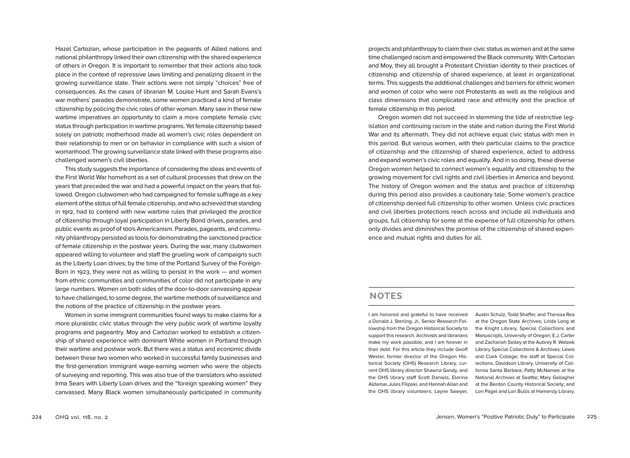Hazel Cartozian, whose participation in the pageants of Allied nations and national philanthropy linked their own citizenship with the shared experience of others in Oregon. It is important to remember that their actions also took place in the context of repressive laws limiting and penalizing dissent in the growing surveillance state. Their actions were not simply "choices" free of consequences. As the cases of librarian M. Louise Hunt and Sarah Evans's war mothers' parades demonstrate, some women practiced a kind of female citizenship by policing the civic roles of other women. Many saw in these new wartime imperatives an opportunity to claim a more complete female civic status through participation in wartime programs. Yet female citizenship based solely on patriotic motherhood made all women's civic roles dependent on their relationship to men or on behavior in compliance with such a vision of womanhood. The growing surveillance state linked with these programs also challenged women's civil liberties.

This study suggests the importance of considering the ideas and events of the First World War homefront as a set of cultural processes that drew on the years that preceded the war and had a powerful impact on the years that followed. Oregon clubwomen who had campaigned for female suffrage as a key element of the *status* of full female citizenship, and who achieved that standing in 1912, had to contend with new wartime rules that privileged the *practice* of citizenship through loyal participation in Liberty Bond drives, parades, and public events as proof of 100% Americanism. Parades, pageants, and community philanthropy persisted as tools for demonstrating the sanctioned practice of female citizenship in the postwar years. During the war, many clubwomen appeared willing to volunteer and staff the grueling work of campaigns such as the Liberty Loan drives; by the time of the Portland Survey of the Foreign-Born in 1923, they were not as willing to persist in the work — and women from ethnic communities and communities of color did not participate in any large numbers. Women on both sides of the door-to-door canvassing appear to have challenged, to some degree, the wartime methods of surveillance and the notions of the practice of citizenship in the postwar years.

Women in some immigrant communities found ways to make claims for a more pluralistic civic status through the very public work of wartime loyalty programs and pageantry. Moy and Cartozian worked to establish a citizenship of shared experience with dominant White women in Portland through their wartime and postwar work. But there was a status and economic divide between these two women who worked in successful family businesses and the first-generation immigrant wage-earning women who were the objects of surveying and reporting. This was also true of the translators who assisted Irma Sears with Liberty Loan drives and the "foreign speaking women" they canvassed. Many Black women simultaneously participated in community

projects and philanthropy to claim their civic status as women and at the same time challenged racism and empowered the Black community. With Cartozian and Moy, they all brought a Protestant Christian identity to their practices of citizenship and citizenship of shared experience, at least in organizational terms. This suggests the additional challenges and barriers for ethnic women and women of color who were not Protestants as well as the religious and class dimensions that complicated race and ethnicity and the practice of female citizenship in this period.

Oregon women did not succeed in stemming the tide of restrictive legislation and continuing racism in the state and nation during the First World War and its aftermath. They did not achieve equal civic status with men in this period. But various women, with their particular claims to the practice of citizenship and the citizenship of shared experience, acted to address and expand women's civic roles and equality. And in so doing, these diverse Oregon women helped to connect women's equality and citizenship to the growing movement for civil rights and civil liberties in America and beyond. The history of Oregon women and the status and practice of citizenship during this period also provides a cautionary tale. Some women's practice of citizenship denied full citizenship to other women. Unless civic practices and civil liberties protections reach across and include all individuals and groups, full citizenship for some at the expense of full citizenship for others only divides and diminishes the promise of the citizenship of shared experience and mutual rights and duties for all.

### **NOTES**

I am honored and grateful to have received a Donald J. Sterling, Jr., Senior Research Fellowship from the Oregon Historical Society to support this research. Archivists and librarians make my work possible, and I am forever in their debt. For this article they include Geoff Wexler, former director of the Oregon Historical Society (OHS) Research Library, current OHS library director Shawna Gandy, and the OHS library staff Scott Daniels, Elerina Aldamar, Jules Filipski, and Hannah Allan and the OHS library volunteers; Layne Sawyer,

Austin Schulz, Todd Shaffer, and Theresa Rea at the Oregon State Archives; Linda Long at the Knight Library, Special Collections and Manuscripts, University of Oregon; E.J. Carter and Zachariah Selley at the Aubrey R. Watzek Library Special Collections & Archives, Lewis and Clark College; the staff at Special Collections, Davidson Library, University of California Santa Barbara; Patty McNamee at the National Archives at Seattle; Mary Gallagher at the Benton County Historical Society; and Lori Pagel and Lori Bullis at Hamersly Library,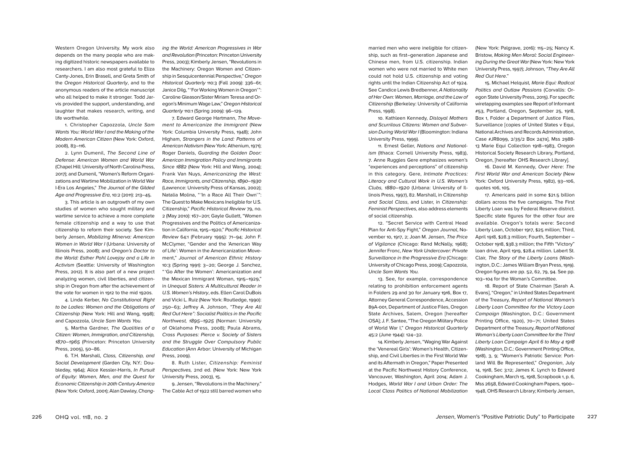Western Oregon University. My work also depends on the many people who are making digitized historic newspapers available to researchers. I am also most grateful to Eliza Canty-Jones, Erin Brasell, and Greta Smith of the *Oregon Historical Quarterly*, and to the anonymous readers of the article manuscript who all helped to make it stronger. Todd Jarvis provided the support, understanding, and laughter that makes research, writing, and life worthwhile.

1. Christopher Capozzola, *Uncle Sam Wants You: World War I and the Making of the Modern American Citizen* (New York: Oxford, 2008), 83–116.

2. Lynn Dumenil, *The Second Line of Defense: American Women and World War*  (Chapel Hill: University of North Carolina Press, 2017); and Dumenil, "Women's Reform Organizations and Wartime Mobilization in World War I-Era Los Angeles," *The Journal of the Gilded Age and Progressive Era*, 10:2 (2011): 213–45.

3. This article is an outgrowth of my own studies of women who sought military and wartime service to achieve a more complete female citizenship and a way to use that citizenship to reform their society. See Kimberly Jensen, *Mobilizing Minerva: American Women in World War I* (Urbana: University of Illinois Press, 2008); and *Oregon's Doctor to the World: Esther Pohl Lovejoy and a Life in Activism* (Seattle: University of Washington Press, 2012). It is also part of a new project analyzing women, civil liberties, and citizenship in Oregon from after the achievement of the vote for women in 1912 to the mid 1920s.

4. Linda Kerber, *No Constitutional Right to be Ladies: Women and the Obligations of Citizenship* (New York: Hill and Wang, 1998); and Capozzola, *Uncle Sam Wants You.*

5. Martha Gardner, *The Qualities of a Citizen: Women, Immigration, and Citizenship, 1870–1965* (Princeton: Princeton University Press, 2005), 50–86.

6. T.H. Marshall, *Class, Citizenship, and Social Development* (Garden City, N.Y.: Doubleday, 1964); Alice Kessler-Harris, *In Pursuit of Equity: Women, Men, and the Quest for Economic Citizenship in 20th Century America* (New York: Oxford, 2001); Alan Dawley, *Chang-*

*ing the World: American Progressives in War and Revolution* (Princeton: Princeton University Press, 2003); Kimberly Jensen, "Revolutions in the Machinery: Oregon Women and Citizenship in Sesquicentennial Perspective," *Oregon Historical Quarterly* 110:3 (Fall 2009): 336–61; Janice Dilg, " 'For Working Women in Oregon' ": Caroline Gleason/Sister Miriam Teresa and Oregon's Minimum Wage Law," *Oregon Historical Quarterly* 110:1 (Spring 2009): 96–129.

7. Edward George Hartmann, *The Movement to Americanize the Immigrant* (New York: Columbia University Press, 1948); John Higham, *Strangers in the Land: Patterns of American Nativism* (New York: Athenium, 1971); Roger Daniels, *Guarding the Golden Door: American Immigration Policy and Immigrants Since 1882* (New York: Hill and Wang, 2004); Frank Van Nuys, *Americanizing the West: Race, Immigrants, and Citizenship, 1890–1930* (Lawrence: University Press of Kansas, 2002); Natalia Molina, " 'In a Race All Their Own' ": The Quest to Make Mexicans Ineligible for U.S. Citizenship," *Pacific Historical Review* 79, no. 2 (May 2010): 167–201; Gayle Gullett, "Women Progressives and the Politics of Americanization in California, 1915–1920," *Pacific Historical Review* 64:1 (February 1995): 71–94; John F. McClymer, "Gender and the 'American Way of Life': Women in the Americanization Movement," *Journal of American Ethnic History* 10:3 (Spring 1991): 3–20; George J. Sanchez, " 'Go After the Women': Americanization and the Mexican Immigrant Woman, 1915–1929," in *Unequal Sisters: A Multicultural Reader in U.S. Women's History*, eds. Ellen Carol DuBois and Vicki L. Ruiz (New York: Routledge, 1990): 250–63; Jeffrey A. Johnson, *"They Are All Red Out Here": Socialist Politics in the Pacific Northwest, 1895–1925* (Norman: University of Oklahoma Press, 2008); Paula Abrams, *Cross Purposes: Pierce v. Society of Sisters and the Struggle Over Compulsory Public Education* (Ann Arbor: University of Michigan Press, 2009).

8. Ruth Lister, *Citizenship: Feminist Perspectives,* 2nd ed. (New York: New York University Press, 2003), 15.

9. Jensen, "Revolutions in the Machinery." The Cable Act of 1922 still barred women who married men who were ineligible for citizenship, such as first–generation Japanese and Chinese men, from U.S. citizenship. Indian women who were not married to White men could not hold U.S. citizenship and voting rights until the Indian Citizenship Act of 1924. See Candice Lewis Bredbenner, *A Nationality of Her Own: Women, Marriage, and the Law of Citizenship* (Berkeley: University of California Press, 1998).

10. Kathleen Kennedy, *Disloyal Mothers and Scurrilous Citizens: Women and Subversion During World War I* (Bloomington: Indiana University Press, 1999).

11. Ernest Geller, *Nations and Nationalism* (Ithaca: Cornell University Press, 1983), 7. Anne Ruggles Gere emphasizes women's "experiences and perceptions" of citizenship in this category. Gere, *Intimate Practices: Literacy and Cultural Work in U.S. Women's Clubs, 1880–1920* (Urbana: University of Illinois Press, 1997), 82. Marshall, in *Citizenship and Social Class*, and Lister, in *Citizenship: Feminist Perspectives,* also address elements of social citizenship.

12. "Secret Service with Central Head Plan for Anti-Spy Fight," *Oregon Journal*, November 10, 1917, 2; Joan M. Jensen, *The Price of Vigilance* (Chicago: Rand McNally, 1968); Jennifer Fronc, *New York Undercover: Private Surveillance in the Progressive Era* (Chicago: University of Chicago Press, 2009); Capozzola, *Uncle Sam Wants You.*

13. See, for example, correspondence relating to prohibition enforcement agents in Folders 29 and 30 for January 1916, Box 17, Attorney General Correspondence, Accession 89A-001, Department of Justice Files, Oregon State Archives, Salem, Oregon [hereafter OSA]; J. F. Santee, "The Oregon Military Police of World War I," *Oregon Historical Quarterly* 45:2 (June 1944): 124–32.

14. Kimberly Jensen, "Waging War Against the 'Venereal Girls': Women's Health, Citizenship, and Civil Liberties in the First World War and its Aftermath in Oregon," Paper Presented at the Pacific Northwest History Conference, Vancouver, Washington, April 2014; Adam J. Hodges, *World War I and Urban Order: The Local Class Politics of National Mobilization* (New York: Palgrave, 2016): 115–25; Nancy K. Bristow, *Making Men Moral: Social Engineering During the Great War* (New York: New York University Press, 1997); Johnson, *"They Are All Red Out Here*."

15. Michael Helquist*, Marie Equi: Radical Politics and Outlaw Passions* (Corvallis: Oregon State University Press, 2015). For specific wiretapping examples see Report of Informant #53, Portland, Oregon, September 25, 1918, Box 1, Folder 4 Department of Justice Files, Surveillance [copies of United States v Equi, National Archives and Records Administration, Case #JR8099, 2/35/2 Box 247a], Mss 2988- 13 Marie Equi Collection 1918–1983, Oregon Historical Society Research Library, Portland, Oregon, [hereafter OHS Research Library].

16. David M. Kennedy, *Over Here*: *The First World War and American Society* (New York: Oxford University Press, 1982), 93–106, quotes 106, 105.

17. Americans paid in some \$21.5 billion dollars across the five campaigns. The First Liberty Loan was by Federal Reserve district. Specific state figures for the other four are available. Oregon's totals were: Second Liberty Loan, October 1917, \$25 million; Third, April 1918, \$28.3 million; Fourth, September – October 1918, \$38.3 million; the Fifth "Victory" loan drive, April 1919, \$28.4 million. Labert St. Clair, *The Story of the Liberty Loans* (Washington, D.C.: James William Bryan Press, 1919). Oregon figures are pp. 52, 62, 79, 94. See pp. 103–104 for the Woman's Committee.

18. Report of State Chairman [Sarah A. Evans], "Oregon," in United States Department of the Treasury, *Report of National Woman's Liberty Loan Committee for the Victory Loan Campaign* (Washington, D.C.: Government Printing Office, 1920), 70–71; United States Department of the Treasury, *Report of National Woman's Liberty Loan Committee for the Third Liberty Loan Campaign April 6 to May 4 1918* (Washington, D.C.: Government Printing Office, 1918), 3, 9; "Women's Patriotic Service: Portland Will Be Represented," *Oregonian*, July 14, 1918, Sec 3:12; James K. Lynch to Edward Cookingham, March 15, 1918, Scrapbook 1, p. 6, Mss 2658, Edward Cookingham Papers, 1900– 1948, OHS Research Library; Kimberly Jensen,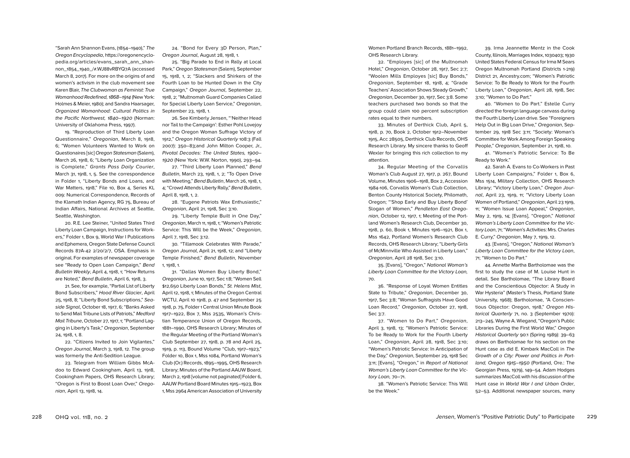"Sarah Ann Shannon Evans, (1854–1940)," *The Oregon Encyclopedia*, https://oregonencyclopedia.org/articles/evans\_sarah\_ann\_shannon\_1854\_1940\_/#.WJ88vRBYQ7A (accessed March 8, 2017). For more on the origins of and women's activism in the club movement see Karen Blair, *The Clubwoman as Feminist: True Womanhood Redefined, 1868–1914* (New York: Holmes & Meier, 1980); and Sandra Haarsager, *Organized Womanhood: Cultural Politics in the Pacific Northwest, 1840–1920* (Norman: University of Oklahoma Press, 1997).

19. "Reproduction of Third Liberty Loan Questionnaire," *Oregonian*, March 8, 1918, 6; "Women Volunteers Wanted to Work on Questionaires [sic] *Oregon Statesman* (Salem), March 26, 1918, 6; "Liberty Loan Organization is Complete," *Grants Pass Daily Courier*, March 31, 1918, 1, 5. See the correspondence in Folder 1, "Liberty Bonds and Loans, and War Matters, 1918," File 10, Box 4, Series KL 009: Numerical Correspondence, Records of the Klamath Indian Agency, RG 75, Bureau of Indian Affairs, National Archives at Seattle, Seattle, Washington.

20. R.E. Lee Steiner, "United States Third Liberty Loan Campaign, Instructions for Workers," Folder 1, Box 9, World War I Publications and Ephemera, Oregon State Defense Council Records 87A-42 2/20/2/7, OSA. Emphasis in original. For examples of newspaper coverage see "Ready to Open Loan Campaign," *Bend Bulletin Weekly*, April 4, 1918, 1; "How Returns are Noted," *Bend Bulletin*, April 6, 1918, 3.

21. See, for example, "Partial List of Liberty Bond Subscribers," *Hood River Glacier*, April 25, 1918, 8; "Liberty Bond Subscriptions," *Seaside Signal*, October 18, 1917, 6; "Banks Asked to Send Mail Tribune Lists of Patriots," *Medford Mail Tribune*, October 27, 1917, 1; "Portland Lagging in Liberty's Task," *Oregonian*, September 24, 1918, 1, 8.

22. "Citizens Invited to Join Vigilantes," *Oregon Journal*, March 3, 1918, 12. The group was formerly the Anti-Sedition League.

23. Telegram from William Gibbs McAdoo to Edward Cookingham, April 13, 1918, Cookingham Papers, OHS Research Library; "Oregon is First to Boost Loan Over," *Oregonian*, April 13, 1918, 14.

24. "Bond for Every 3D Person, Plan," *Oregon Journal*, August 28, 1918, 1.

25. "Big Parade to End in Rally at Local Park," *Oregon Statesman* (Salem), September 15, 1918, 1, 2; "Slackers and Shirkers of the Fourth Loan to be Hunted Down in the City Campaign," *Oregon Journal*, September 22, 1918, 2; "Multnomah Guard Companies Called for Special Liberty Loan Service," *Oregonian*, September 23, 1918, 1.

26. See Kimberly Jensen, "'Neither Head nor Tail to the Campaign': Esther Pohl Lovejoy and the Oregon Woman Suffrage Victory of 1912," *Oregon Historical Quarterly* 108:3 (Fall 2007): 350–83;and John Milton Cooper, Jr., *Pivotal Decades: The United States, 1900– 1920* (New York: W.W. Norton, 1990), 293–94.

27. "Third Liberty Loan Planned," *Bend Bulletin*, March 23, 1918, 1, 2; "To Open Drive with Meeting," *Bend Bulletin*, March 26, 1918, 1, 4; "Crowd Attends Liberty Rally," *Bend Bulletin*, April 8, 1918, 1, 2.

28. "Eugene Patriots Wax Enthusiastic," *Oregonian*, April 21, 1918, Sec 3:10.

29. "Liberty Temple Built in One Day," *Oregonian*, March 11, 1918, 1; "Women's Patriotic Service: This Will be the Week," *Oregonian*, April 7, 1918, Sec 3:12.

30. "Tillamook Celebrates With Parade," *Oregon Journal*, April 21, 1918, 12; and "Liberty Temple Finished," *Bend Bulletin*, November 1, 1918, 1.

31. "Dallas Women Buy Liberty Bond," *Oregonian*, June 10, 1917, Sec 1:8; "Women Sell \$12,650 Liberty Loan Bonds," *St. Helens Mist*, April 12, 1918, 1; Minutes of the Oregon Central WCTU, April 10 1918, p. 47 and September 25 1918, p. 75, Folder 1 Central Union Minute Book 1917–1922, Box 7, Mss 2535, Woman's Christian Temperance Union of Oregon Records, 1881–1990, OHS Research Library; Minutes of the Regular Meeting of the Portland Woman's Club September 27, 1918, p. 78 and April 25, 1919, p. 113, Bound Volume "Club, 1917–1923," Folder 10, Box 1, Mss 1084, Portland Woman's Club (Or.) Records, 1895–1995, OHS Research Library; Minutes of the Portland AAUW Board, March 2, 1918 [volume not paginated] Folder 6, AAUW Portland Board Minutes 1915–1923, Box 1, Mss 2964 American Association of University

Women Portland Branch Records, 1881–1992, OHS Research Library.

32. "Employes [sic] of the Multnomah Hotel," *Oregonian*, October 28, 1917, Sec 2:7; "Woolen Mills Employes [sic] Buy Bonds," *Oregonian*, September 18, 1918, 4; "Grade Teachers' Association Shows Steady Growth," *Oregonian*, December 30, 1917, Sec 3:8. Some teachers purchased two bonds so that the group could claim 100 percent subscription rates equal to their numbers.

33. Minutes of Derthick Club, April 5, 1918, p. 70, Book 2, October 1912–November 1915, Acc 28505, Derthick Club Records, OHS Research Library. My sincere thanks to Geoff Wexler for bringing this rich collection to my attention.

34. Regular Meeting of the Corvallis Woman's Club August 27, 1917, p. 267, Bound Volume, Minutes 1906–1918, Box 2, Accession 1984-106, Corvallis Woman's Club Collection, Benton County Historical Society, Philomath, Oregon; "'Shop Early and Buy Liberty Bond' Slogan of Women," *Pendleton East Oregonian*, October 12, 1917, 1; Meeting of the Portland Women's Research Club, December 30, 1918, p. 60, Book 1, Minutes 1916–1921, Box 1, Mss 1642, Portland Women's Research Club Records, OHS Research Library; "Liberty Girls of McMinnville Who Assisted in Liberty Loan," *Oregonian*, April 28 1918, Sec 3:10.

35. [Evans], "Oregon," *National Woman's Liberty Loan Committee for the Victory Loan,* 70.

36. "Response of Loyal Women Entitles State to Tribute," *Oregonian*, December 30, 1917, Sec 3:8; "Woman Suffragists Have Good Loan Record," *Oregonian*, October 27, 1918, Sec 3:7.

37. "Women to Do Part," *Oregonian*, April 3, 1918, 13; "Women's Patriotic Service: To be Ready to Work for the Fourth Liberty Loan," *Oregonian*, April 28, 1918, Sec 3:10; "Women's Patriotic Service: In Anticipation of the Day," *Oregonian*, September 29, 1918 Sec 3:11; [Evans], "Oregon," in *Report of National Woman's Liberty Loan Committee for the Victory Loan,* 70–71.

38. "Women's Patriotic Service: This Will be the Week."

39. Irma Jeannette Mentz in the Cook County, Illinois, Marriages Index, 1030403; 1930 United States Federal Census for Irma M Sears Oregon Multnomah Portland (Districts 1-219) District 21, Ancestry.com; "Women's Patriotic Service: To Be Ready to Work for the Fourth Liberty Loan*," Oregonian*, April 28, 1918, Sec 3:10; "Women to Do Part."

40. "Women to Do Part." Estelle Curry directed the foreign language canvass during the Fourth Liberty Loan drive. See "Foreigners Help Out in Big Loan Drive," *Oregonian*, September 29, 1918 Sec 3:11; "Society: Woman's Committee for Work Among Foreign Speaking People," *Oregonian*, September 21, 1918, 10.

41. "Women's Patriotic Service: To Be Ready to Work."

42. Sarah A. Evans to Co-Workers in Past Liberty Loan Campaigns," Folder 1, Box 6, Mss 1514, Military Collection, OHS Research Library; "Victory Liberty Loan," *Oregon Journal*, April 23, 1919, 11; "Victory Liberty Loan Women of Portland," *Oregonian*, April 23 1919, 11; "Women Issue Loan Appeal," *Oregonian*, May 2, 1919, 14; [Evans], "Oregon," *National Woman's Liberty Loan Committee for the Victory Loan*, 71; "Women's Activities: Mrs. Charles E. Curry," *Oregonian*, May 7, 1919, 12.

43. [Evans], "Oregon," *National Woman's Liberty Loan Committee for the Victory Loan*, 71; "Women to Do Part."

44. Annette Martha Bartholomae was the first to study the case of M. Louise Hunt in detail. See Bartholomae, "The Library Board and the Conscientious Objector: A Study in War Hysteria" (Master's Thesis, Portland State University, 1968); Bartholomae, "A Conscientious Objector: Oregon, 1918," *Oregon Historical Quarterly* 71, no. 3 (September 1970): 213–245. Wayne A. Wiegand, "Oregon's Public Libraries During the First World War," *Oregon Historical Quarterly* 90:1 (Spring 1989): 39–63 draws on Bartholomae for his section on the Hunt case as did E. Kimbark MacColl in *The Growth of a City: Power and Politics in Portland, Oregon 1915–1950* (Portland, Ore.: The Georgian Press, 1979), 149–54. Adam Hodges summarizes MacColl with his discussion of the Hunt case in *World War I and Urban Order*, 52–53. Additional newspaper sources, many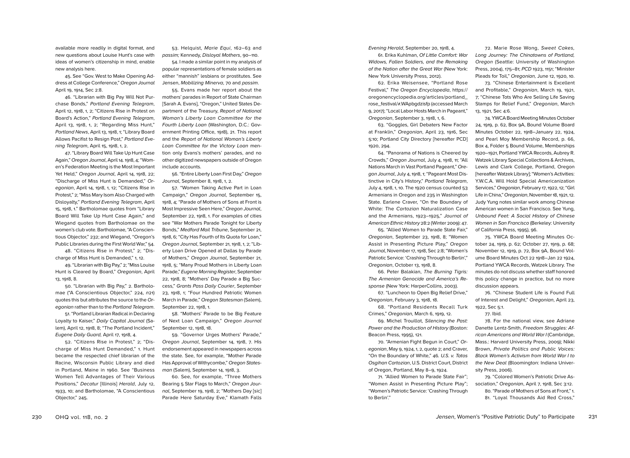available more readily in digital format, and new questions about Louise Hunt's case with ideas of women's citizenship in mind, enable new analysis here.

45. See "Gov. West to Make Opening Address at College Conference," *Oregon Journal* April 19, 1914, Sec 2:8.

46. "Librarian with Big Pay Will Not Purchase Bonds," *Portland Evening Telegram*, April 12, 1918, 1, 2; "Citizens Rise in Protest on Board's Action," *Portland Evening Telegram*, April 13, 1918, 1, 2; "Regarding Miss Hunt," *Portland News*, April 13, 1918, 1; "Library Board Allows Pacifist to Resign Post," *Portland Evening Telegram*, April 15, 1918, 1, 2.

47. "Library Board Will Take Up Hunt Case Again," *Oregon Journal*, April 14. 1918, 4; "Women's Federation Meeting is the Most Important Yet Held," *Oregon Journal*, April 14, 1918, 22; "Discharge of Miss Hunt is Demanded," *Oregonian*, April 14, 1918, 1, 12; "Citizens Rise in Protest," 2; "Miss Mary Isom Also Charged with Disloyalty," *Portland Evening Telegram*, April 15, 1918, 1." Bartholomae quotes from "Library Board Will Take Up Hunt Case Again," and Wiegand quotes from Bartholomae on the women's club vote. Bartholomae, "A Conscientious Objector," 232; and Wiegand, "Oregon's Public Libraries during the First World War," 54.

48. "Citizens Rise in Protest," 2; "Discharge of Miss Hunt is Demanded," 1, 12.

49. "Librarian with Big Pay," 2; "Miss Louise Hunt is Cleared by Board," *Oregonian*, April 13, 1918, 8.

50. "Librarian with Big Pay," 2. Bartholomae ("A Conscientious Objector," 224, *n*21) quotes this but attributes the source to the *Oregonian* rather than to the *Portland Telegram*.

51. "Portland Librarian Radical in Declaring Loyalty to Kaiser," *Daily Capital Journal* (Salem), April 12, 1918, 8; "The Portland Incident," *Eugene Daily Guard,* April 17, 1918, 4.

52. "Citizens Rise in Protest," 2; "Discharge of Miss Hunt Demanded," 1. Hunt became the respected chief librarian of the Racine, Wisconsin Public Library and died in Portland, Maine in 1960. See "Business Women Tell Advantages of Their Various Positions," *Decatur* [Illinois] *Herald*, July 12, 1933, 10; and Bartholomae, "A Conscientious Objector," 245.

53. Helquist, *Marie Equi*, 162–63 and *passim;* Kennedy, *Disloyal Mothers*, 90–110.

54. I made a similar point in my analysis of popular representations of female soldiers as either "mannish" lesbians or prostitutes. See Jensen, *Mobilizing Minerva*, 70 and *passim*.

55. Evans made her report about the mothers' parades in Report of State Chairman [Sarah A. Evans], "Oregon," United States Department of the Treasury, *Report of National Woman's Liberty Loan Committee for the Fourth Liberty Loan* (Washington, D.C.: Government Printing Office, 1918), 21. This report and the *Report of National Woman's Liberty Loan Committee for the Victory Loan* mention only Evans's mothers' parades, and no other digitized newspapers outside of Oregon include accounts.

56. "Entire Liberty Loan First Day," *Oregon Journal*, September 8, 1918, 1, 2.

57. "Women Taking Active Part in Loan Campaign," *Oregon Journal*, September 15, 1918, 4; "Parade of Mothers of Sons at Front is Most Impressive Seen Here," *Oregon Journal*, September 22, 1918, 1. For examples of cities see "War Mothers Parade Tonight for Liberty Bonds," *Medford Mail Tribune*, September 21, 1918, 6; "City Has Fourth of Its Quota for Loan," *Oregon Journal*, September 21, 1918, 1, 2; "Liberty Loan Drive Opened at Dallas by Parade of Mothers," *Oregon Journal*, September 21, 1918, 5; "Many Proud Mothers in Liberty Loan Parade," *Eugene Morning Register*, September 22, 1918, 8; "Mothers' Day Parade a Big Success," *Grants Pass Daily Courier*, September 23, 1918, 1; "Four Hundred Patriotic Women March in Parade," *Oregon Statesman* (Salem), September 22, 1918, 1.

58. "Mothers' Parade to be Big Feature of Next Loan Campaign," *Oregon Journal* September 12, 1918, 18.

59. "Governor Urges Mothers' Parade," *Oregon Journal*, September 14, 1918, 7. His endorsement appeared in newspapers across the state. See, for example, "Mother Parade Has Approval of Withycombe," *Oregon Statesman* (Salem), September 14, 1918, 3.

60. See, for example, "Three Mothers Bearing 5 Star Flags to March," *Oregon Journal*, September 19, 1918, 2; "Mothers Day [sic] Parade Here Saturday Eve," Klamath Falls *Evening Herald*, September 20, 1918, 4.

61. Erika Kuhlman, *Of Little Comfort: War Widows, Fallen Soldiers, and the Remaking of the Nation after the Great War* (New York: New York University Press, 2012).

62. Erika Weisensee, "Portland Rose Festival," *The Oregon Encyclopedia*, https:// oregonencyclopedia.org/articles/portland\_ rose\_festival/#.WApbgdzisfp (accessed March 9, 2017); "Local Labor Hosts March in Pageant," *Oregonian*, September 3, 1918, 1, 6.

63. "Goggles, Girl Debaters New Factor at Franklin," *Oregonian*, April 23, 1916, Sec 5:10; Portland City Directory [hereafter PCD] 1920, 294.

64. "Panorama of Nations is Cheered by Crowds," *Oregon Journal*, July 4, 1918, 11; "All Nations March in Vast Portland Pageant," *Oregon Journal*, July 4, 1918, 1; "Pageant Most Distinctive in City's History," *Portland Telegram*, July 4, 1918, 1, 10. The 1920 census counted 53 Armenians in Oregon and 235 in Washington State. Earlene Craver, "On the Boundary of White: The *Cartozian* Naturalization Case and the Armenians, 1923–1925," *Journal of American Ethnic History* 28:2 (Winter 2009): 47.

65. "Allied Women to Parade State Fair," *Oregonian*, September 23, 1918, 8; "Women Assist in Presenting Picture Play," *Oregon Journal*, November 17, 1918, Sec 2:8; "Women's Patriotic Service: 'Crashing Through to Berlin'," *Oregonian*, October 13, 1918, 8.

66. Peter Balakian, *The Burning Tigris: The Armenian Genocide and America's Response* (New York: HarperCollins, 2003).

67. "Luncheon to Open Big Relief Drive," *Oregonian*, February 3, 1918, 18.

68. "Portland Residents Recall Turk Crimes," *Oregonian*, March 6, 1919, 12.

69. Michel Trouillot, *Silencing the Past: Power and the Production of History* (Boston: Beacon Press, 1995), 121.

70. "Armenian Fight Begun in Court," *Oregonian*, May 9, 1924, 1, 2, quote 2; and Craver, "On the Boundary of White," 46*. U.S. v. Tatos Osgihan Cartozian*, U.S. District Court, District of Oregon, Portland, May 8–9, 1924.

71. "Allied Women to Parade State Fair"; "Women Assist in Presenting Picture Play"; "Women's Patriotic Service: 'Crashing Through to Berlin'."

72. Marie Rose Wong, *Sweet Cakes, Long Journey: The Chinatowns of Portland, Oregon* (Seattle: University of Washington Press, 2004), 175–81; *PCD* 1923, 1151; "Minister Pleads for Toil," *Oregonian,* June 12, 1920, 10.

73. "Chinese Entertainment is Excellent and Profitable," *Oregonian*, March 19, 1921, 7; "Chinese Tots Who Are Selling Life Saving Stamps for Relief Fund," *Oregonian*, March 13, 1921, Sec 4:6.

74. YWCA Board Meeting Minutes October 24, 1919, p. 62, Box 9A, Bound Volume Board Minutes October 22, 1918–January 22, 1924, and Pearl Moy Membership Record, p. 66, Box 4, Folder 5 Bound Volume, Memberships 1920–1921, Portland YWCA Records, Aubrey R. Watzek Library Special Collections & Archives, Lewis and Clark College, Portland, Oregon [hereafter Watzek Library]; "Women's Activities: Y.W.C.A. Will Hold Special Americanization Services," *Oregonian*, February 17, 1922, 12; "Girl Life in China," *Oregonian*, November 18, 1921, 12. Judy Yung notes similar work among Chinese American women in San Francisco. See Yung, *Unbound Feet: A Social History of Chinese Women in San Francisco* (Berkeley: University of California Press, 1995), 96.

75. YWCA Board Meeting Minutes October 24, 1919, p. 62; October 27, 1919, p. 68; November 12, 1919, p. 72, Box 9A, Bound Volume Board Minutes Oct 22 1918–Jan 22 1924, Portland YWCA Records, Watzek Library. The minutes do not discuss whether staff honored this policy change in practice, but no more discussion appears.

76. "Chinese Student Life is Found Full of Interest and Delight," *Oregonian*, April 23, 1922, Sec 5:1.

77. Ibid.

78. For the national view, see Adriane Danette Lentz-Smith, *Freedom Struggles: African Americans and World War I* (Cambridge, Mass.: Harvard University Press, 2009); Nikki Brown, *Private Politics and Public Voices: Black Women's Activism from World War I to the New Deal* (Bloomington: Indiana University Press, 2006).

79. "Colored Women's Patriotic Drive Association," *Oregonia*n, April 7, 1918, Sec 3:12. 80. "Parade of Mothers of Sons at Front," 1. 81. "Loyal Thousands Aid Red Cross,"